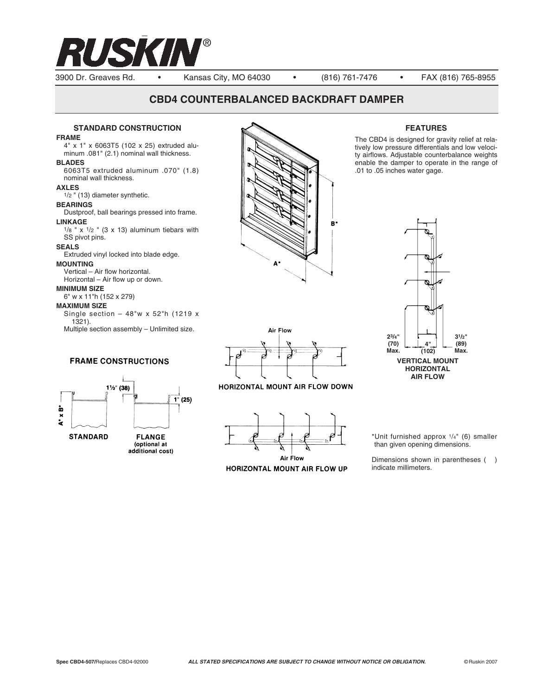

### 3900 Dr. Greaves Rd. • Kansas City, MO 64030 • (816) 761-7476 • FAX (816) 765-8955

# **CBD4 COUNTERBALANCED BACKDRAFT DAMPER**

#### **STANDARD CONSTRUCTION**

#### **FRAME**

4" x 1" x 6063T5 (102 x 25) extruded aluminum .081" (2.1) nominal wall thickness. **BLADES** 6063T5 extruded aluminum .070" (1.8)

nominal wall thickness.

### **AXLES**

1/2 " (13) diameter synthetic.

# **BEARINGS**

Dustproof, ball bearings pressed into frame. **LINKAGE**  $1/8$  " x  $1/2$  " (3 x 13) aluminum tiebars with

SS pivot pins.

# **SEALS**

Extruded vinyl locked into blade edge. **MOUNTING**

Vertical – Air flow horizontal. Horizontal – Air flow up or down.

### **MINIMUM SIZE**

6" w x 11"h (152 x 279)

#### **MAXIMUM SIZE**

Single section – 48"w x 52"h (1219 x 1321). Multiple section assembly – Unlimited size.

# **FRAME CONSTRUCTIONS**



(optional at additional cost)





HORIZONTAL MOUNT AIR FLOW DOWN



HORIZONTAL MOUNT AIR FLOW UP

**FEATURES**

The CBD4 is designed for gravity relief at relatively low pressure differentials and low velocity airflows. Adjustable counterbalance weights enable the damper to operate in the range of .01 to .05 inches water gage.



\*Unit furnished approx 1/4" (6) smaller than given opening dimensions.

Dimensions shown in parentheses () indicate millimeters.